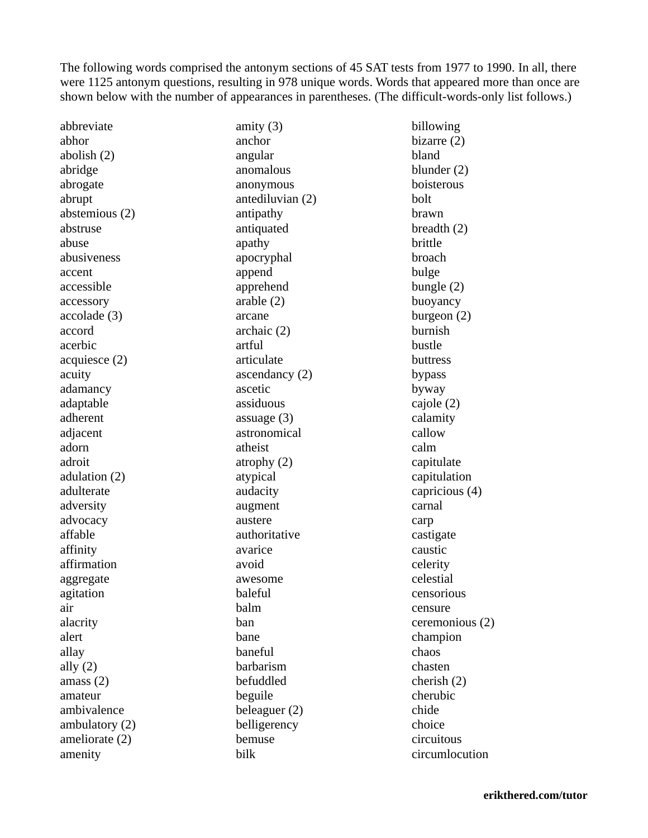The following words comprised the antonym sections of 45 SAT tests from 1977 to 1990. In all, there were 1125 antonym questions, resulting in 978 unique words. Words that appeared more than once are shown below with the number of appearances in parentheses. (The difficult-words-only list follows.)

abbreviate abhor abolish (2) abridge abrogate abrupt abstemious (2) abstruse abuse abusiveness accent accessible accessory accolade (3) accord acerbic acquiesce (2) acuity adamancy adaptable adherent adjacent adorn adroit adulation (2) adulterate adversity advocacy affable affinity affirmation aggregate agitation air alacrity alert allay ally  $(2)$ amass (2) amateur ambivalence ambulatory (2) ameliorate (2) amenity

amity (3) anchor angular anomalous anonymous antediluvian (2) antipathy antiquated apathy apocryphal append apprehend arable (2) arcane archaic (2) artful articulate ascendancy (2) ascetic assiduous assuage (3) astronomical atheist atrophy (2) atypical audacity augment austere authoritative avarice avoid awesome baleful balm ban bane baneful barbarism befuddled beguile beleaguer (2) belligerency bemuse bilk

billowing bizarre (2) bland blunder (2) boisterous bolt brawn breadth (2) brittle broach bulge bungle (2) buoyancy burgeon (2) burnish bustle buttress bypass byway cajole (2) calamity callow calm capitulate capitulation capricious (4) carnal carp castigate caustic celerity celestial censorious censure ceremonious (2) champion chaos chasten cherish (2) cherubic chide choice circuitous circumlocution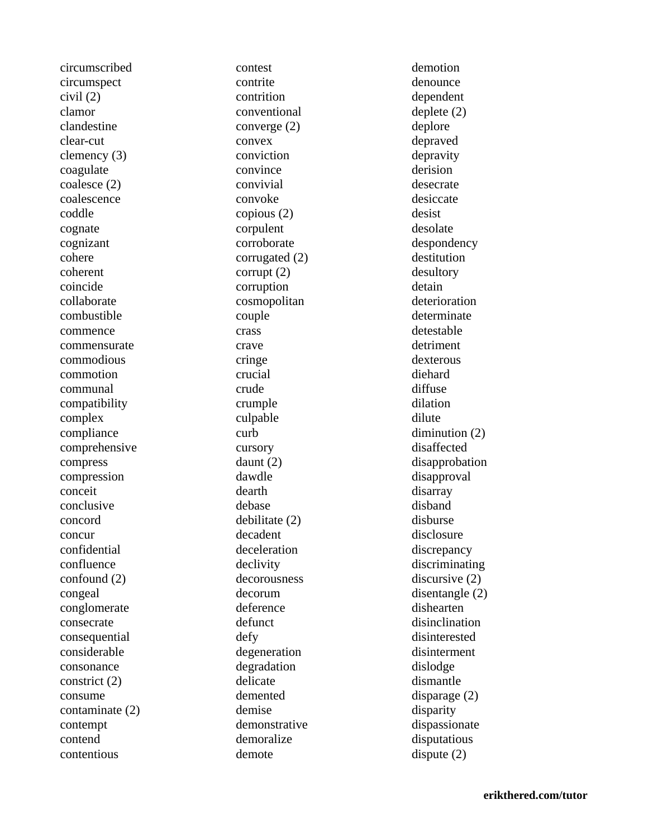circumscribed circumspect civil (2) clamor clandestine clear-cut clemency (3) coagulate coalesce (2) coalescence coddle cognate cognizant cohere coherent coincide collaborate combustible commence commensurate commodious commotion communal compatibility complex compliance comprehensive compress compression conceit conclusive concord concur confidential confluence confound (2) congeal conglomerate consecrate consequential considerable consonance constrict (2) consume contaminate (2) contempt contend contentious

contest contrite contrition conventional converge (2) convex conviction convince convivial convoke copious (2) corpulent corroborate corrugated (2) corrupt (2) corruption cosmopolitan couple crass crave cringe crucial crude crumple culpable curb cursory daunt (2) dawdle dearth debase debilitate (2) decadent deceleration declivity decorousness decorum deference defunct defy degeneration degradation delicate demented demise demonstrative demoralize demote

demotion denounce dependent deplete (2) deplore depraved depravity derision desecrate desiccate desist desolate despondency destitution desultory detain deterioration determinate detestable detriment dexterous diehard diffuse dilation dilute diminution (2) disaffected disapprobation disapproval disarray disband disburse disclosure discrepancy discriminating discursive (2) disentangle (2) dishearten disinclination disinterested disinterment dislodge dismantle disparage (2) disparity dispassionate disputatious dispute (2)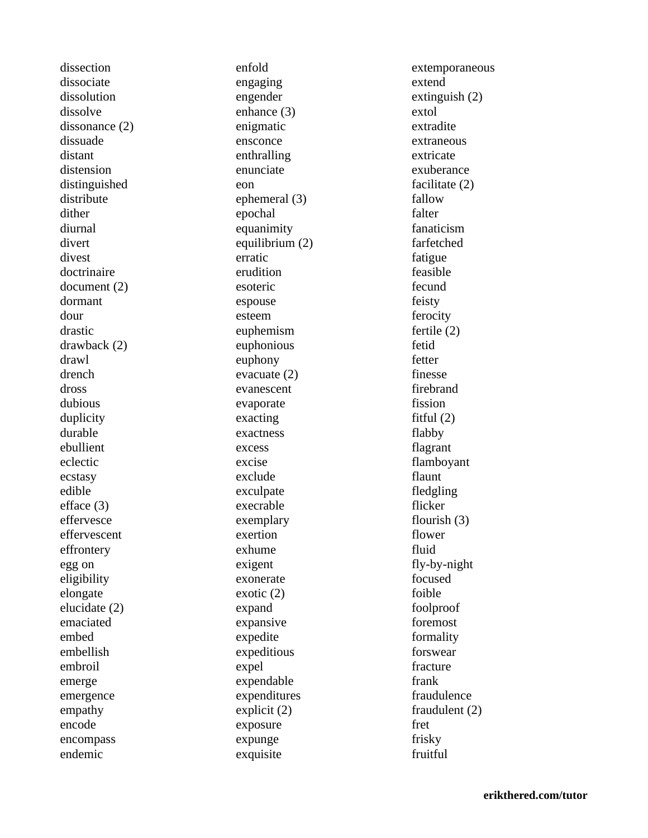dissection dissociate dissolution dissolve dissonance (2) dissuade distant distension distinguished distribute dither diurnal divert divest doctrinaire document (2) dormant dour drastic drawback (2) drawl drench dross dubious duplicity durable ebullient eclectic ecstasy edible efface (3) effervesce effervescent effrontery egg on eligibility elongate elucidate (2) emaciated embed embellish embroil emerge emergence empathy encode encompass endemic

enfold engaging engender enhance (3) enigmatic ensconce enthralling enunciate eon ephemeral (3) epochal equanimity equilibrium (2) erratic erudition esoteric espouse esteem euphemism euphonious euphony evacuate (2) evanescent evaporate exacting exactness excess excise exclude exculpate execrable exemplary exertion exhume exigent exonerate exotic (2) expand expansive expedite expeditious expel expendable expenditures explicit (2) exposure expunge exquisite

extemporaneous extend extinguish (2) extol extradite extraneous extricate exuberance facilitate (2) fallow falter fanaticism farfetched fatigue feasible fecund feisty ferocity fertile (2) fetid fetter finesse firebrand fission fitful (2) flabby flagrant flamboyant flaunt fledgling flicker flourish (3) flower fluid fly-by-night focused foible foolproof foremost formality forswear fracture frank fraudulence fraudulent (2) fret frisky fruitful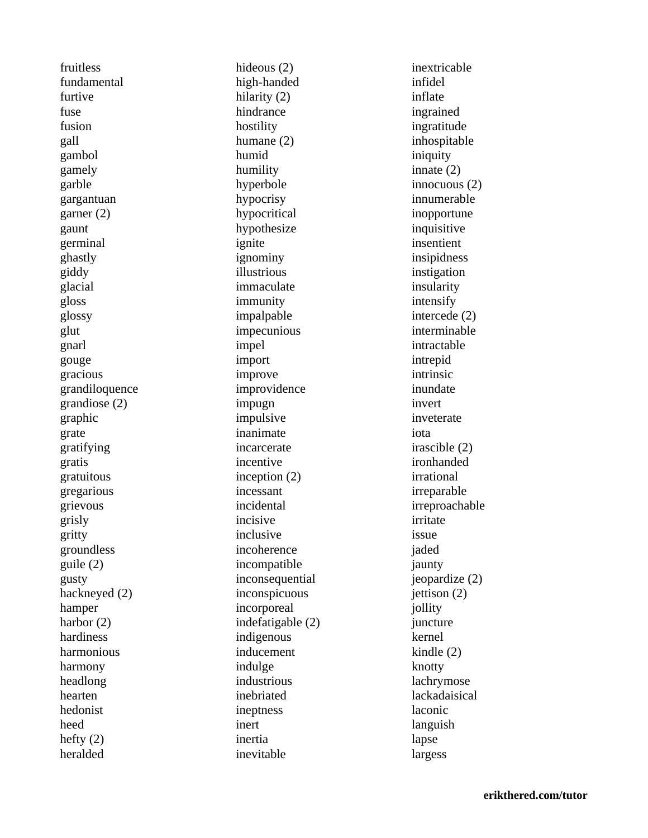fruitless fundamental furtive fuse fusion gall gambol gamely garble gargantuan garner (2) gaunt germinal ghastly giddy glacial gloss glossy glut gnarl gouge gracious grandiloquence grandiose (2) graphic grate gratifying gratis gratuitous gregarious grievous grisly gritty groundless guile (2) gusty hackneyed (2) hamper harbor (2) hardiness harmonious harmony headlong hearten hedonist heed hefty (2) heralded

hideous (2) high-handed hilarity (2) hindrance hostility humane (2) humid humility hyperbole hypocrisy hypocritical hypothesize ignite ignominy illustrious immaculate immunity impalpable impecunious impel import improve improvidence impugn impulsive inanimate incarcerate incentive inception (2) incessant incidental incisive inclusive incoherence incompatible inconsequential inconspicuous incorporeal indefatigable (2) indigenous inducement indulge industrious inebriated ineptness inert inertia inevitable

inextricable infidel inflate ingrained ingratitude inhospitable iniquity innate (2) innocuous (2) innumerable inopportune inquisitive insentient insipidness instigation insularity intensify intercede (2) interminable intractable intrepid intrinsic inundate invert inveterate iota irascible (2) ironhanded irrational irreparable irreproachable irritate issue jaded jaunty jeopardize (2) jettison (2) jollity juncture kernel kindle (2) knotty lachrymose lackadaisical laconic languish lapse largess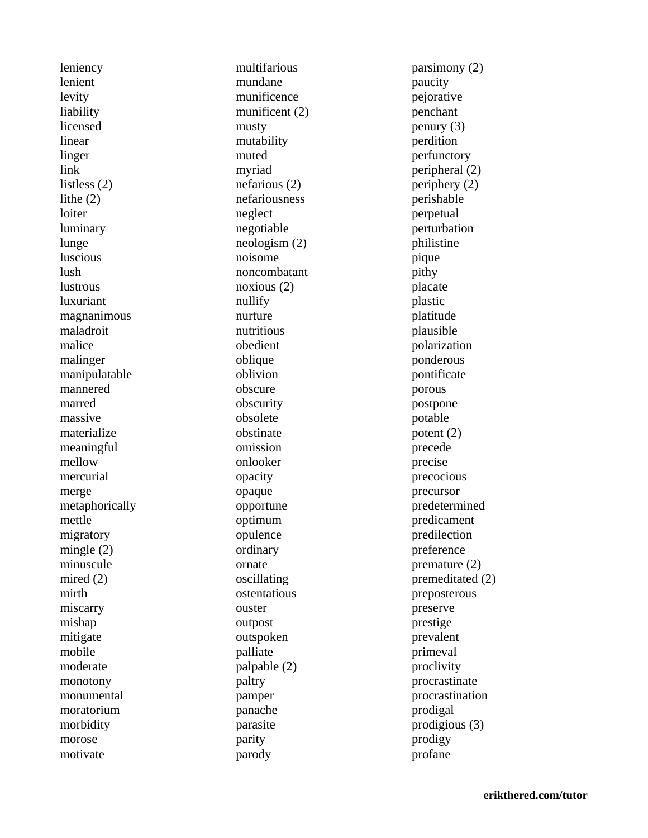leniency lenient levity liability licensed linear linger link listless (2) lithe (2) loiter luminary lunge luscious lush lustrous luxuriant magnanimous maladroit malice malinger manipulatable mannered marred massive materialize meaningful mellow mercurial merge metaphorically mettle migratory mingle (2) minuscule mired (2) mirth miscarry mishap mitigate mobile moderate monotony monumental moratorium morbidity morose motivate

multifarious mundane munificence munificent (2) musty mutability muted myriad nefarious (2) nefariousness neglect negotiable neologism (2) noisome noncombatant noxious (2) nullify nurture nutritious obedient oblique oblivion obscure obscurity obsolete obstinate omission onlooker opacity opaque opportune optimum opulence ordinary ornate oscillating ostentatious ouster outpost outspoken palliate palpable (2) paltry pamper panache parasite parity parody

parsimony (2) paucity pejorative penchant penury (3) perdition perfunctory peripheral (2) periphery (2) perishable perpetual perturbation philistine pique pithy placate plastic platitude plausible polarization ponderous pontificate porous postpone potable potent (2) precede precise precocious precursor predetermined predicament predilection preference premature (2) premeditated (2) preposterous preserve prestige prevalent primeval proclivity procrastinate procrastination prodigal prodigious (3) prodigy profane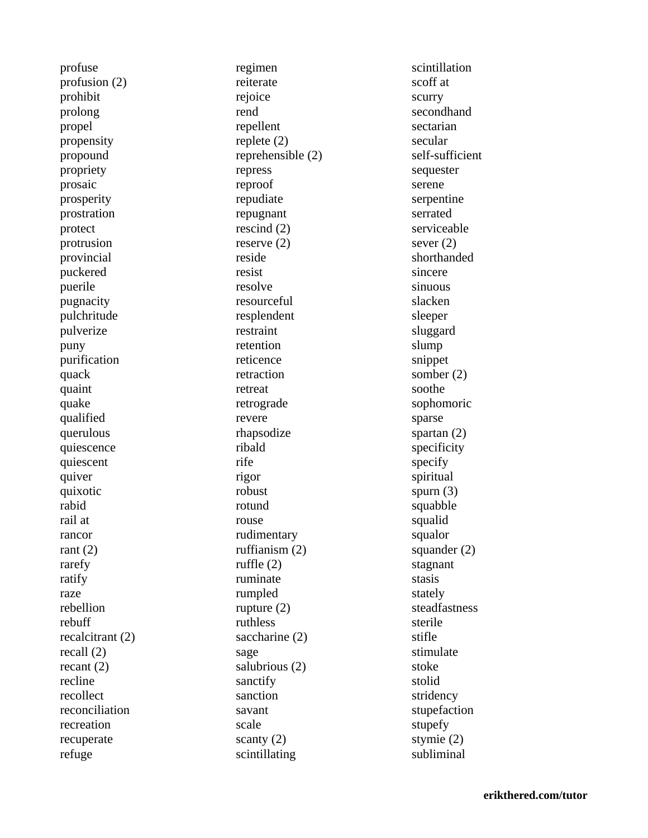profuse profusion (2) prohibit prolong propel propensity propound propriety prosaic prosperity prostration protect protrusion provincial puckered puerile pugnacity pulchritude pulverize puny purification quack quaint quake qualified querulous quiescence quiescent quiver quixotic rabid rail at rancor rant  $(2)$ rarefy ratify raze rebellion rebuff recalcitrant (2) recall (2) recant (2) recline recollect reconciliation recreation recuperate refuge

regimen reiterate rejoice rend repellent replete (2) reprehensible (2) repress reproof repudiate repugnant rescind (2) reserve (2) reside resist resolve resourceful resplendent restraint retention reticence retraction retreat retrograde revere rhapsodize ribald rife rigor robust rotund rouse rudimentary ruffianism (2) ruffle (2) ruminate rumpled rupture (2) ruthless saccharine (2) sage salubrious (2) sanctify sanction savant scale scanty (2) scintillating

scintillation scoff at scurry secondhand sectarian secular self-sufficient sequester serene serpentine serrated serviceable sever (2) shorthanded sincere sinuous slacken sleeper sluggard slump snippet somber (2) soothe sophomoric sparse spartan (2) specificity specify spiritual spurn (3) squabble squalid squalor squander (2) stagnant stasis stately steadfastness sterile stifle stimulate stoke stolid stridency stupefaction stupefy stymie (2) subliminal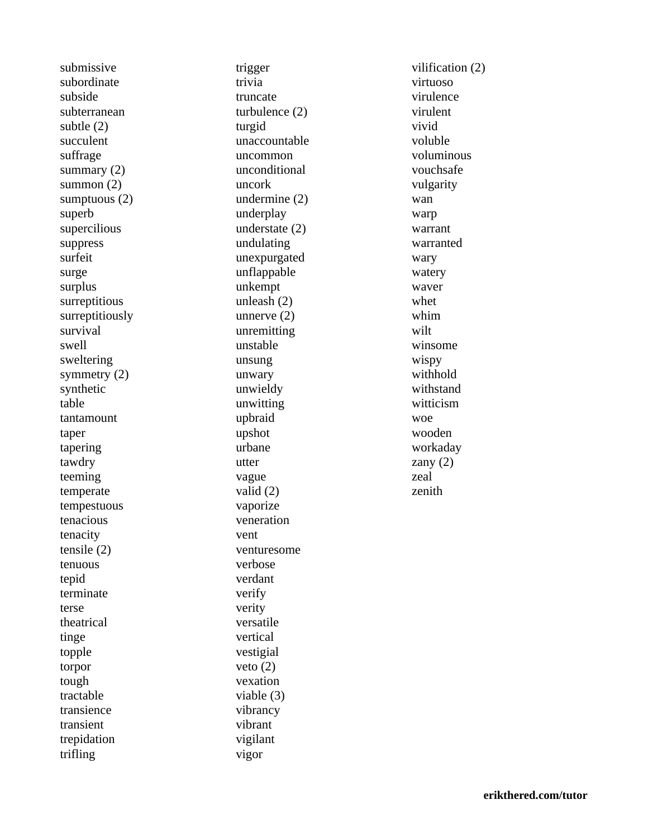submissive subordinate subside subterranean subtle (2) succulent suffrage summary (2) summon (2) sumptuous (2) superb supercilious suppress surfeit surge surplus surreptitious surreptitiously survival swell sweltering symmetry (2) synthetic table tantamount taper tapering tawdry teeming temperate tempestuous tenacious tenacity tensile (2) tenuous tepid terminate terse theatrical tinge topple torpor tough tractable transience transient trepidation trifling

trigger trivia truncate turbulence (2) turgid unaccountable uncommon unconditional uncork undermine (2) underplay understate (2) undulating unexpurgated unflappable unkempt unleash (2) unnerve (2) unremitting unstable unsung unwary unwieldy unwitting upbraid upshot urbane utter vague valid (2) vaporize veneration vent venturesome verbose verdant verify verity versatile vertical vestigial veto (2) vexation viable (3) vibrancy vibrant vigilant vigor

vilification (2) virtuoso virulence virulent vivid voluble voluminous vouchsafe vulgarity wan warp warrant warranted wary watery waver whet whim wilt winsome wispy withhold withstand witticism woe wooden workaday zany  $(2)$ zeal zenith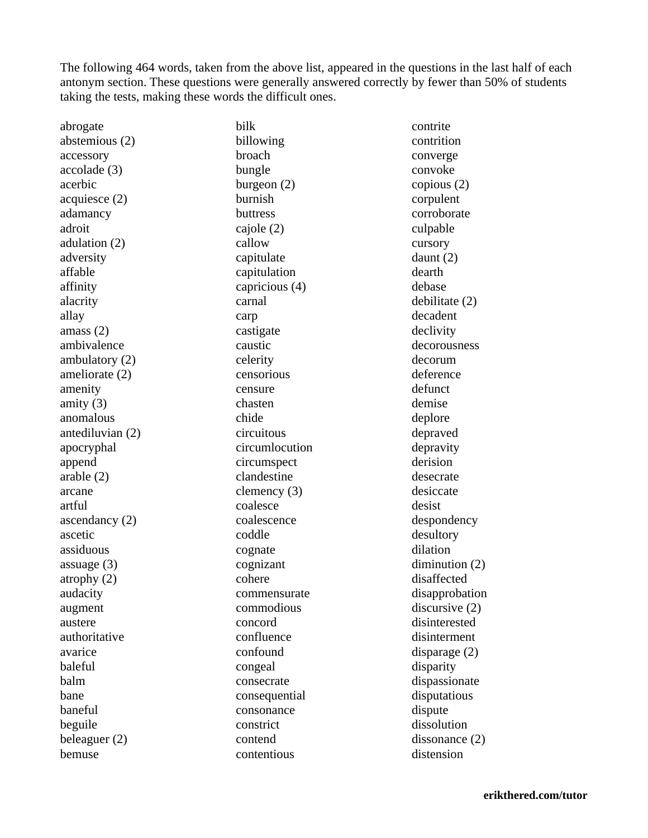The following 464 words, taken from the above list, appeared in the questions in the last half of each antonym section. These questions were generally answered correctly by fewer than 50% of students taking the tests, making these words the difficult ones.

abrogate abstemious (2) accessory accolade (3) acerbic acquiesce (2) adamancy adroit adulation (2) adversity affable affinity alacrity allay amass (2) ambivalence ambulatory (2) ameliorate (2) amenity amity (3) anomalous antediluvian (2) apocryphal append arable (2) arcane artful ascendancy (2) ascetic assiduous assuage (3) atrophy (2) audacity augment austere authoritative avarice baleful balm bane baneful beguile beleaguer (2) bemuse

bilk billowing broach bungle burgeon (2) burnish buttress cajole (2) callow capitulate capitulation capricious (4) carnal carp castigate caustic celerity censorious censure chasten chide circuitous circumlocution circumspect clandestine clemency (3) coalesce coalescence coddle cognate cognizant cohere commensurate commodious concord confluence confound congeal consecrate consequential consonance constrict contend contentious

contrite contrition converge convoke copious (2) corpulent corroborate culpable cursory daunt (2) dearth debase debilitate (2) decadent declivity decorousness decorum deference defunct demise deplore depraved depravity derision desecrate desiccate desist despondency desultory dilation diminution (2) disaffected disapprobation discursive (2) disinterested disinterment disparage (2) disparity dispassionate disputatious dispute dissolution dissonance (2) distension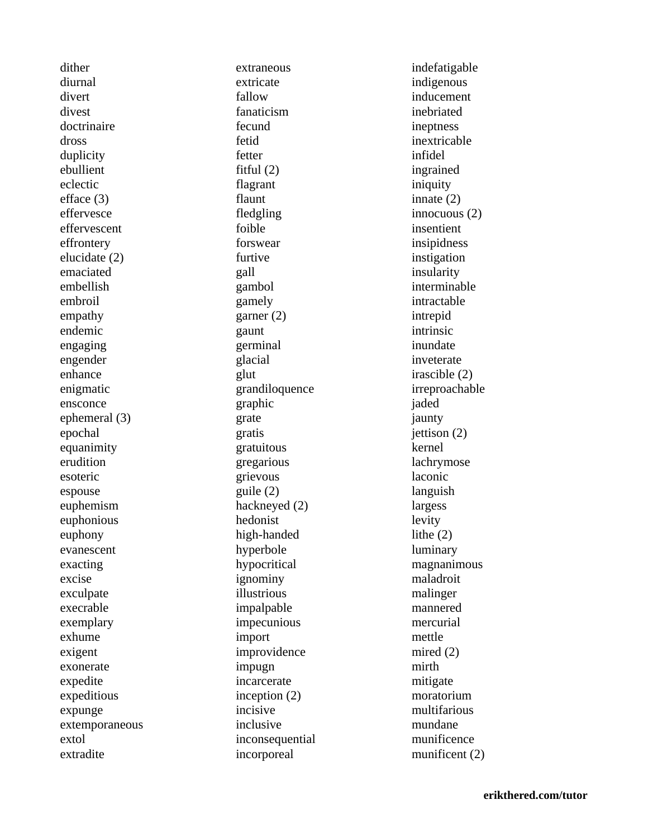dither diurnal divert divest doctrinaire dross duplicity ebullient eclectic efface (3) effervesce effervescent effrontery elucidate (2) emaciated embellish embroil empathy endemic engaging engender enhance enigmatic ensconce ephemeral (3) epochal equanimity erudition esoteric espouse euphemism euphonious euphony evanescent exacting excise exculpate execrable exemplary exhume exigent exonerate expedite expeditious expunge extemporaneous extol extradite

extraneous extricate fallow fanaticism fecund fetid fetter fitful (2) flagrant flaunt fledgling foible forswear furtive gall gambol gamely garner (2) gaunt germinal glacial glut grandiloquence graphic grate gratis gratuitous gregarious grievous guile (2) hackneyed (2) hedonist high-handed hyperbole hypocritical ignominy illustrious impalpable impecunious import improvidence impugn incarcerate inception (2) incisive inclusive inconsequential incorporeal

indefatigable indigenous inducement inebriated ineptness inextricable infidel ingrained iniquity innate (2) innocuous (2) insentient insipidness instigation insularity interminable intractable intrepid intrinsic inundate inveterate irascible (2) irreproachable jaded jaunty jettison (2) kernel lachrymose laconic languish largess levity lithe (2) luminary magnanimous maladroit malinger mannered mercurial mettle mired (2) mirth mitigate moratorium multifarious mundane munificence munificent (2)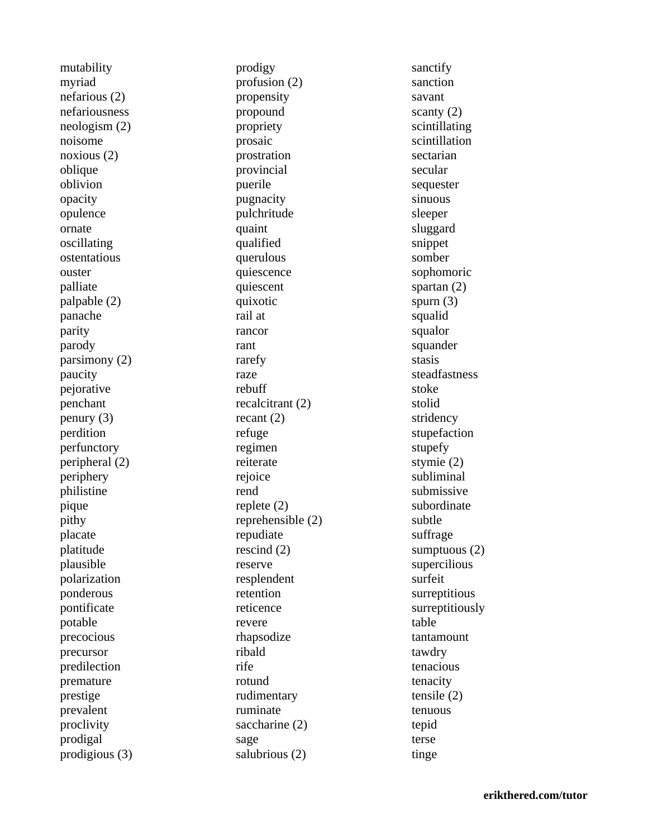mutability myriad nefarious (2) nefariousness neologism (2) noisome noxious (2) oblique oblivion opacity opulence ornate oscillating ostentatious ouster palliate palpable (2) panache parity parody parsimony (2) paucity pejorative penchant penury (3) perdition perfunctory peripheral (2) periphery philistine pique pithy placate platitude plausible polarization ponderous pontificate potable precocious precursor predilection premature prestige prevalent proclivity prodigal prodigious (3) prodigy profusion (2) propensity propound propriety prosaic prostration provincial puerile pugnacity pulchritude quaint qualified querulous quiescence quiescent quixotic rail at rancor rant rarefy raze rebuff recalcitrant (2) recant (2) refuge regimen reiterate rejoice rend replete (2) reprehensible (2) repudiate rescind (2) reserve resplendent retention reticence revere rhapsodize ribald rife rotund rudimentary ruminate saccharine (2) sage salubrious (2)

sanctify sanction savant scanty (2) scintillating scintillation sectarian secular sequester sinuous sleeper sluggard snippet somber sophomoric spartan (2) spurn (3) squalid squalor squander stasis steadfastness stoke stolid stridency stupefaction stupefy stymie (2) subliminal submissive subordinate subtle suffrage sumptuous (2) supercilious surfeit surreptitious surreptitiously table tantamount tawdry tenacious tenacity tensile (2) tenuous tepid terse tinge